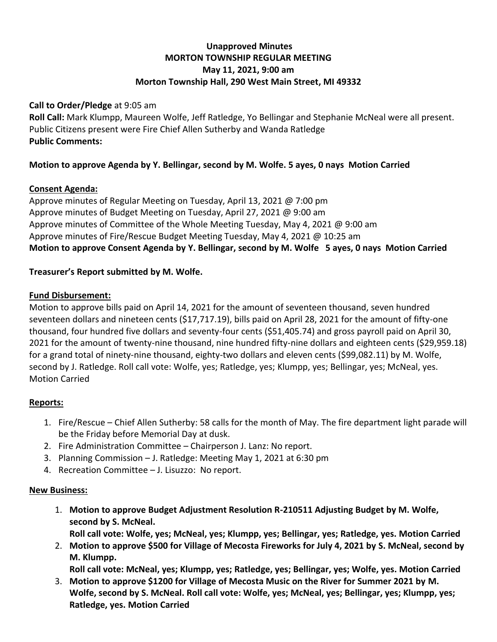# **Unapproved Minutes MORTON TOWNSHIP REGULAR MEETING May 11, 2021, 9:00 am Morton Township Hall, 290 West Main Street, MI 49332**

#### **Call to Order/Pledge** at 9:05 am

**Roll Call:** Mark Klumpp, Maureen Wolfe, Jeff Ratledge, Yo Bellingar and Stephanie McNeal were all present. Public Citizens present were Fire Chief Allen Sutherby and Wanda Ratledge **Public Comments:** 

## **Motion to approve Agenda by Y. Bellingar, second by M. Wolfe. 5 ayes, 0 nays Motion Carried**

## **Consent Agenda:**

Approve minutes of Regular Meeting on Tuesday, April 13, 2021 @ 7:00 pm Approve minutes of Budget Meeting on Tuesday, April 27, 2021 @ 9:00 am Approve minutes of Committee of the Whole Meeting Tuesday, May 4, 2021 @ 9:00 am Approve minutes of Fire/Rescue Budget Meeting Tuesday, May 4, 2021 @ 10:25 am **Motion to approve Consent Agenda by Y. Bellingar, second by M. Wolfe 5 ayes, 0 nays Motion Carried**

## **Treasurer's Report submitted by M. Wolfe.**

#### **Fund Disbursement:**

Motion to approve bills paid on April 14, 2021 for the amount of seventeen thousand, seven hundred seventeen dollars and nineteen cents (\$17,717.19), bills paid on April 28, 2021 for the amount of fifty-one thousand, four hundred five dollars and seventy-four cents (\$51,405.74) and gross payroll paid on April 30, 2021 for the amount of twenty-nine thousand, nine hundred fifty-nine dollars and eighteen cents (\$29,959.18) for a grand total of ninety-nine thousand, eighty-two dollars and eleven cents (\$99,082.11) by M. Wolfe, second by J. Ratledge. Roll call vote: Wolfe, yes; Ratledge, yes; Klumpp, yes; Bellingar, yes; McNeal, yes. Motion Carried

## **Reports:**

- 1. Fire/Rescue Chief Allen Sutherby: 58 calls for the month of May. The fire department light parade will be the Friday before Memorial Day at dusk.
- 2. Fire Administration Committee Chairperson J. Lanz: No report.
- 3. Planning Commission J. Ratledge: Meeting May 1, 2021 at 6:30 pm
- 4. Recreation Committee J. Lisuzzo: No report.

## **New Business:**

1. **Motion to approve Budget Adjustment Resolution R-210511 Adjusting Budget by M. Wolfe, second by S. McNeal.**

**Roll call vote: Wolfe, yes; McNeal, yes; Klumpp, yes; Bellingar, yes; Ratledge, yes. Motion Carried**

- 2. **Motion to approve \$500 for Village of Mecosta Fireworks for July 4, 2021 by S. McNeal, second by M. Klumpp. Roll call vote: McNeal, yes; Klumpp, yes; Ratledge, yes; Bellingar, yes; Wolfe, yes. Motion Carried**
- 3. **Motion to approve \$1200 for Village of Mecosta Music on the River for Summer 2021 by M. Wolfe, second by S. McNeal. Roll call vote: Wolfe, yes; McNeal, yes; Bellingar, yes; Klumpp, yes; Ratledge, yes. Motion Carried**